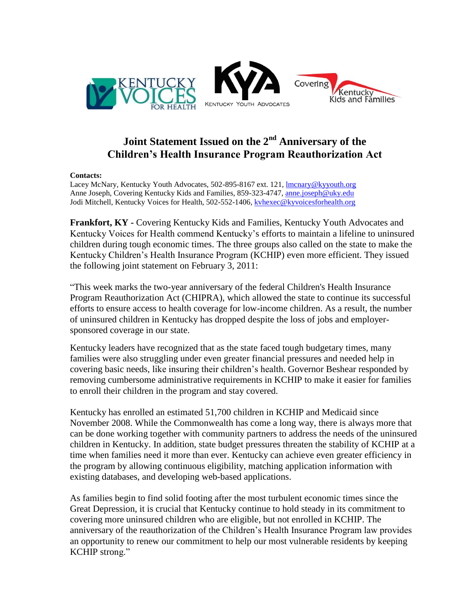

## **Joint Statement Issued on the 2nd Anniversary of the Children's Health Insurance Program Reauthorization Act**

## **Contacts:**

Lacey McNary, Kentucky Youth Advocates, 502-895-8167 ext. 121, **Imcnary@kyyouth.org** Anne Joseph, Covering Kentucky Kids and Families, 859-323-4747, [anne.joseph@uky.edu](mailto:anne.joseph@uky.edu) Jodi Mitchell, Kentucky Voices for Health, 502-552-1406, [kvhexec@kyvoicesforhealth.org](mailto:kvhexec@kyvoicesforhealth.org)

**Frankfort, KY -** Covering Kentucky Kids and Families, Kentucky Youth Advocates and Kentucky Voices for Health commend Kentucky's efforts to maintain a lifeline to uninsured children during tough economic times. The three groups also called on the state to make the Kentucky Children's Health Insurance Program (KCHIP) even more efficient. They issued the following joint statement on February 3, 2011:

"This week marks the two-year anniversary of the federal Children's Health Insurance Program Reauthorization Act [\(CHIPRA\)](http://ccf.georgetown.edu/index/schip), which allowed the state to continue its successful efforts to ensure access to health coverage for low-income children. As a result, the number of uninsured children in Kentucky has dropped despite the loss of jobs and employersponsored coverage in our state.

Kentucky leaders have recognized that as the state faced tough budgetary times, many families were also struggling under even greater financial pressures and needed help in covering basic needs, like insuring their children's health. Governor Beshear responded by removing cumbersome administrative requirements in KCHIP to make it easier for families to enroll their children in the program and stay covered.

Kentucky has enrolled an estimated 51,700 children in KCHIP and Medicaid since November 2008. While the Commonwealth has come a long way, there is always more that can be done working together with community partners to address the needs of the uninsured children in Kentucky. In addition, state budget pressures threaten the stability of KCHIP at a time when families need it more than ever. Kentucky can achieve even greater efficiency in the program by allowing continuous eligibility, matching application information with existing databases, and developing web-based applications.

As families begin to find solid footing after the most turbulent economic times since the Great Depression, it is crucial that Kentucky continue to hold steady in its commitment to covering more uninsured children who are eligible, but not enrolled in KCHIP. The anniversary of the reauthorization of the Children's Health Insurance Program law provides an opportunity to renew our commitment to help our most vulnerable residents by keeping KCHIP strong."